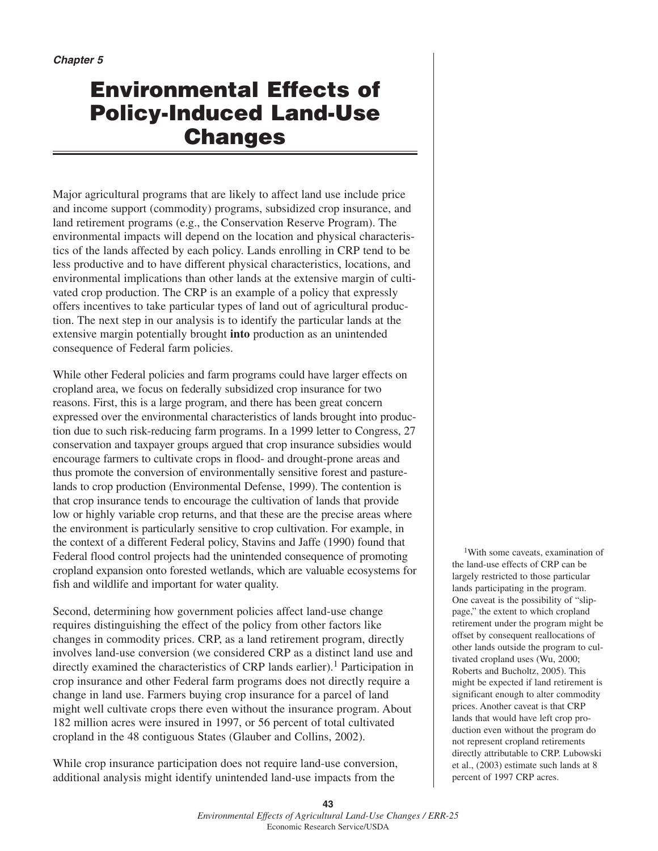# **Environmental Effects of Policy-Induced Land-Use Changes**

Major agricultural programs that are likely to affect land use include price and income support (commodity) programs, subsidized crop insurance, and land retirement programs (e.g., the Conservation Reserve Program). The environmental impacts will depend on the location and physical characteristics of the lands affected by each policy. Lands enrolling in CRP tend to be less productive and to have different physical characteristics, locations, and environmental implications than other lands at the extensive margin of cultivated crop production. The CRP is an example of a policy that expressly offers incentives to take particular types of land out of agricultural production. The next step in our analysis is to identify the particular lands at the extensive margin potentially brought **into** production as an unintended consequence of Federal farm policies.

While other Federal policies and farm programs could have larger effects on cropland area, we focus on federally subsidized crop insurance for two reasons. First, this is a large program, and there has been great concern expressed over the environmental characteristics of lands brought into production due to such risk-reducing farm programs. In a 1999 letter to Congress, 27 conservation and taxpayer groups argued that crop insurance subsidies would encourage farmers to cultivate crops in flood- and drought-prone areas and thus promote the conversion of environmentally sensitive forest and pasturelands to crop production (Environmental Defense, 1999). The contention is that crop insurance tends to encourage the cultivation of lands that provide low or highly variable crop returns, and that these are the precise areas where the environment is particularly sensitive to crop cultivation. For example, in the context of a different Federal policy, Stavins and Jaffe (1990) found that Federal flood control projects had the unintended consequence of promoting cropland expansion onto forested wetlands, which are valuable ecosystems for fish and wildlife and important for water quality.

Second, determining how government policies affect land-use change requires distinguishing the effect of the policy from other factors like changes in commodity prices. CRP, as a land retirement program, directly involves land-use conversion (we considered CRP as a distinct land use and directly examined the characteristics of CRP lands earlier).<sup>1</sup> Participation in crop insurance and other Federal farm programs does not directly require a change in land use. Farmers buying crop insurance for a parcel of land might well cultivate crops there even without the insurance program. About 182 million acres were insured in 1997, or 56 percent of total cultivated cropland in the 48 contiguous States (Glauber and Collins, 2002).

While crop insurance participation does not require land-use conversion, additional analysis might identify unintended land-use impacts from the

1With some caveats, examination of the land-use effects of CRP can be largely restricted to those particular lands participating in the program. One caveat is the possibility of "slippage," the extent to which cropland retirement under the program might be offset by consequent reallocations of other lands outside the program to cultivated cropland uses (Wu, 2000; Roberts and Bucholtz, 2005). This might be expected if land retirement is significant enough to alter commodity prices. Another caveat is that CRP lands that would have left crop production even without the program do not represent cropland retirements directly attributable to CRP. Lubowski et al., (2003) estimate such lands at 8 percent of 1997 CRP acres.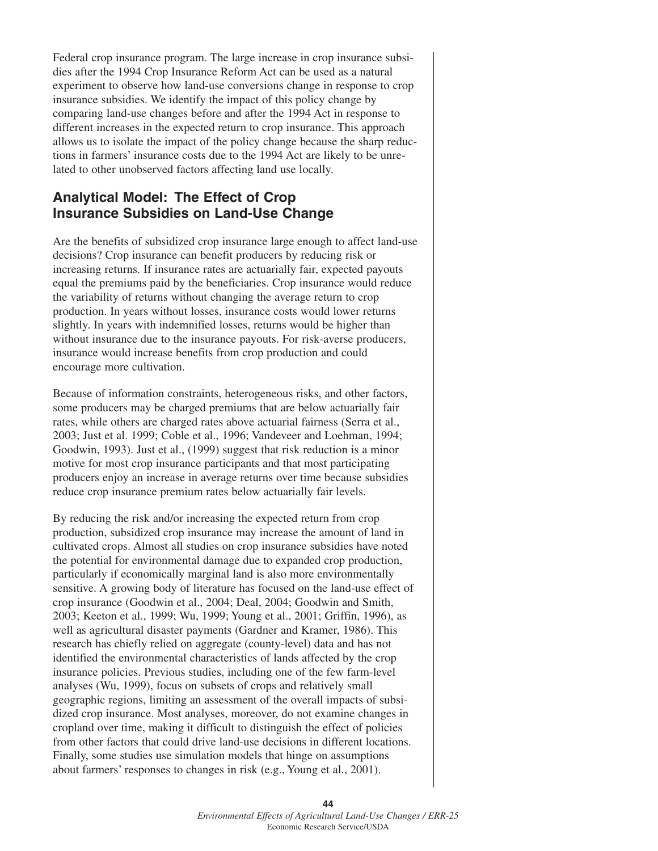Federal crop insurance program. The large increase in crop insurance subsidies after the 1994 Crop Insurance Reform Act can be used as a natural experiment to observe how land-use conversions change in response to crop insurance subsidies. We identify the impact of this policy change by comparing land-use changes before and after the 1994 Act in response to different increases in the expected return to crop insurance. This approach allows us to isolate the impact of the policy change because the sharp reductions in farmers' insurance costs due to the 1994 Act are likely to be unrelated to other unobserved factors affecting land use locally.

## **Analytical Model: The Effect of Crop Insurance Subsidies on Land-Use Change**

Are the benefits of subsidized crop insurance large enough to affect land-use decisions? Crop insurance can benefit producers by reducing risk or increasing returns. If insurance rates are actuarially fair, expected payouts equal the premiums paid by the beneficiaries. Crop insurance would reduce the variability of returns without changing the average return to crop production. In years without losses, insurance costs would lower returns slightly. In years with indemnified losses, returns would be higher than without insurance due to the insurance payouts. For risk-averse producers, insurance would increase benefits from crop production and could encourage more cultivation.

Because of information constraints, heterogeneous risks, and other factors, some producers may be charged premiums that are below actuarially fair rates, while others are charged rates above actuarial fairness (Serra et al., 2003; Just et al. 1999; Coble et al., 1996; Vandeveer and Loehman, 1994; Goodwin, 1993). Just et al., (1999) suggest that risk reduction is a minor motive for most crop insurance participants and that most participating producers enjoy an increase in average returns over time because subsidies reduce crop insurance premium rates below actuarially fair levels.

By reducing the risk and/or increasing the expected return from crop production, subsidized crop insurance may increase the amount of land in cultivated crops. Almost all studies on crop insurance subsidies have noted the potential for environmental damage due to expanded crop production, particularly if economically marginal land is also more environmentally sensitive. A growing body of literature has focused on the land-use effect of crop insurance (Goodwin et al., 2004; Deal, 2004; Goodwin and Smith, 2003; Keeton et al., 1999; Wu, 1999; Young et al., 2001; Griffin, 1996), as well as agricultural disaster payments (Gardner and Kramer, 1986). This research has chiefly relied on aggregate (county-level) data and has not identified the environmental characteristics of lands affected by the crop insurance policies. Previous studies, including one of the few farm-level analyses (Wu, 1999), focus on subsets of crops and relatively small geographic regions, limiting an assessment of the overall impacts of subsidized crop insurance. Most analyses, moreover, do not examine changes in cropland over time, making it difficult to distinguish the effect of policies from other factors that could drive land-use decisions in different locations. Finally, some studies use simulation models that hinge on assumptions about farmers' responses to changes in risk (e.g., Young et al., 2001).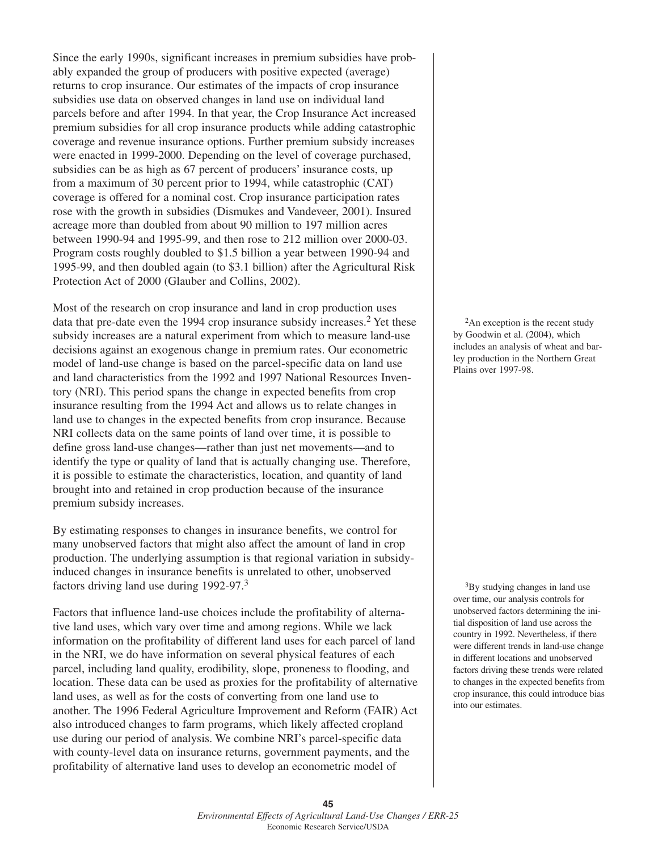Since the early 1990s, significant increases in premium subsidies have probably expanded the group of producers with positive expected (average) returns to crop insurance. Our estimates of the impacts of crop insurance subsidies use data on observed changes in land use on individual land parcels before and after 1994. In that year, the Crop Insurance Act increased premium subsidies for all crop insurance products while adding catastrophic coverage and revenue insurance options. Further premium subsidy increases were enacted in 1999-2000. Depending on the level of coverage purchased, subsidies can be as high as 67 percent of producers' insurance costs, up from a maximum of 30 percent prior to 1994, while catastrophic (CAT) coverage is offered for a nominal cost. Crop insurance participation rates rose with the growth in subsidies (Dismukes and Vandeveer, 2001). Insured acreage more than doubled from about 90 million to 197 million acres between 1990-94 and 1995-99, and then rose to 212 million over 2000-03. Program costs roughly doubled to \$1.5 billion a year between 1990-94 and 1995-99, and then doubled again (to \$3.1 billion) after the Agricultural Risk Protection Act of 2000 (Glauber and Collins, 2002).

Most of the research on crop insurance and land in crop production uses data that pre-date even the 1994 crop insurance subsidy increases.<sup>2</sup> Yet these subsidy increases are a natural experiment from which to measure land-use decisions against an exogenous change in premium rates. Our econometric model of land-use change is based on the parcel-specific data on land use and land characteristics from the 1992 and 1997 National Resources Inventory (NRI). This period spans the change in expected benefits from crop insurance resulting from the 1994 Act and allows us to relate changes in land use to changes in the expected benefits from crop insurance. Because NRI collects data on the same points of land over time, it is possible to define gross land-use changes—rather than just net movements—and to identify the type or quality of land that is actually changing use. Therefore, it is possible to estimate the characteristics, location, and quantity of land brought into and retained in crop production because of the insurance premium subsidy increases.

By estimating responses to changes in insurance benefits, we control for many unobserved factors that might also affect the amount of land in crop production. The underlying assumption is that regional variation in subsidyinduced changes in insurance benefits is unrelated to other, unobserved factors driving land use during 1992-97.<sup>3</sup>

Factors that influence land-use choices include the profitability of alternative land uses, which vary over time and among regions. While we lack information on the profitability of different land uses for each parcel of land in the NRI, we do have information on several physical features of each parcel, including land quality, erodibility, slope, proneness to flooding, and location. These data can be used as proxies for the profitability of alternative land uses, as well as for the costs of converting from one land use to another. The 1996 Federal Agriculture Improvement and Reform (FAIR) Act also introduced changes to farm programs, which likely affected cropland use during our period of analysis. We combine NRI's parcel-specific data with county-level data on insurance returns, government payments, and the profitability of alternative land uses to develop an econometric model of

<sup>2</sup>An exception is the recent study by Goodwin et al. (2004), which includes an analysis of wheat and barley production in the Northern Great Plains over 1997-98.

<sup>3</sup>By studying changes in land use over time, our analysis controls for unobserved factors determining the initial disposition of land use across the country in 1992. Nevertheless, if there were different trends in land-use change in different locations and unobserved factors driving these trends were related to changes in the expected benefits from crop insurance, this could introduce bias into our estimates.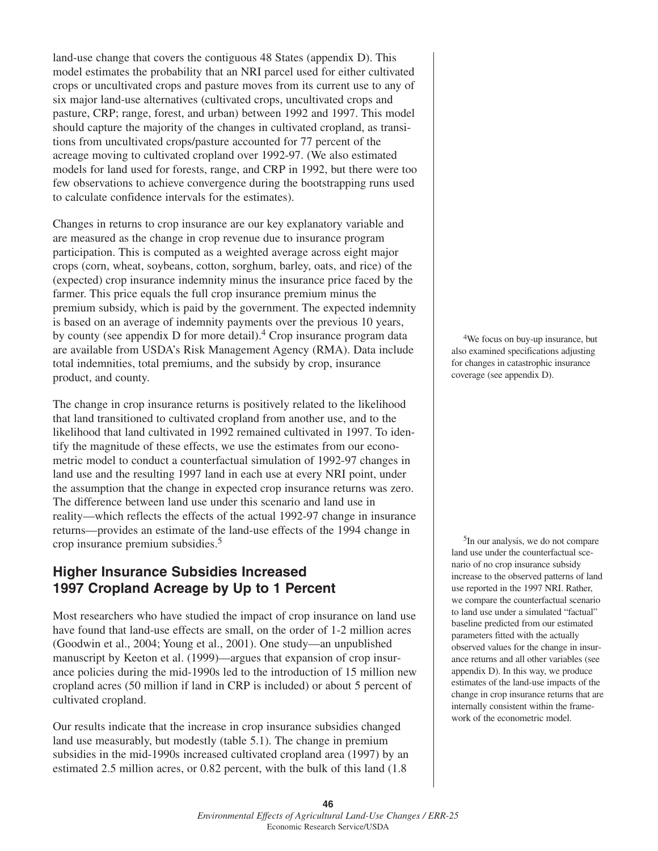land-use change that covers the contiguous 48 States (appendix D). This model estimates the probability that an NRI parcel used for either cultivated crops or uncultivated crops and pasture moves from its current use to any of six major land-use alternatives (cultivated crops, uncultivated crops and pasture, CRP; range, forest, and urban) between 1992 and 1997. This model should capture the majority of the changes in cultivated cropland, as transitions from uncultivated crops/pasture accounted for 77 percent of the acreage moving to cultivated cropland over 1992-97. (We also estimated models for land used for forests, range, and CRP in 1992, but there were too few observations to achieve convergence during the bootstrapping runs used to calculate confidence intervals for the estimates).

Changes in returns to crop insurance are our key explanatory variable and are measured as the change in crop revenue due to insurance program participation. This is computed as a weighted average across eight major crops (corn, wheat, soybeans, cotton, sorghum, barley, oats, and rice) of the (expected) crop insurance indemnity minus the insurance price faced by the farmer. This price equals the full crop insurance premium minus the premium subsidy, which is paid by the government. The expected indemnity is based on an average of indemnity payments over the previous 10 years, by county (see appendix D for more detail).<sup>4</sup> Crop insurance program data are available from USDA's Risk Management Agency (RMA). Data include total indemnities, total premiums, and the subsidy by crop, insurance product, and county.

The change in crop insurance returns is positively related to the likelihood that land transitioned to cultivated cropland from another use, and to the likelihood that land cultivated in 1992 remained cultivated in 1997. To identify the magnitude of these effects, we use the estimates from our econometric model to conduct a counterfactual simulation of 1992-97 changes in land use and the resulting 1997 land in each use at every NRI point, under the assumption that the change in expected crop insurance returns was zero. The difference between land use under this scenario and land use in reality—which reflects the effects of the actual 1992-97 change in insurance returns—provides an estimate of the land-use effects of the 1994 change in crop insurance premium subsidies.5

# **Higher Insurance Subsidies Increased 1997 Cropland Acreage by Up to 1 Percent**

Most researchers who have studied the impact of crop insurance on land use have found that land-use effects are small, on the order of 1-2 million acres (Goodwin et al., 2004; Young et al., 2001). One study—an unpublished manuscript by Keeton et al. (1999)—argues that expansion of crop insurance policies during the mid-1990s led to the introduction of 15 million new cropland acres (50 million if land in CRP is included) or about 5 percent of cultivated cropland.

Our results indicate that the increase in crop insurance subsidies changed land use measurably, but modestly (table 5.1). The change in premium subsidies in the mid-1990s increased cultivated cropland area (1997) by an estimated 2.5 million acres, or 0.82 percent, with the bulk of this land (1.8

4We focus on buy-up insurance, but also examined specifications adjusting for changes in catastrophic insurance coverage (see appendix D).

5In our analysis, we do not compare land use under the counterfactual scenario of no crop insurance subsidy increase to the observed patterns of land use reported in the 1997 NRI. Rather, we compare the counterfactual scenario to land use under a simulated "factual" baseline predicted from our estimated parameters fitted with the actually observed values for the change in insurance returns and all other variables (see appendix D). In this way, we produce estimates of the land-use impacts of the change in crop insurance returns that are internally consistent within the framework of the econometric model.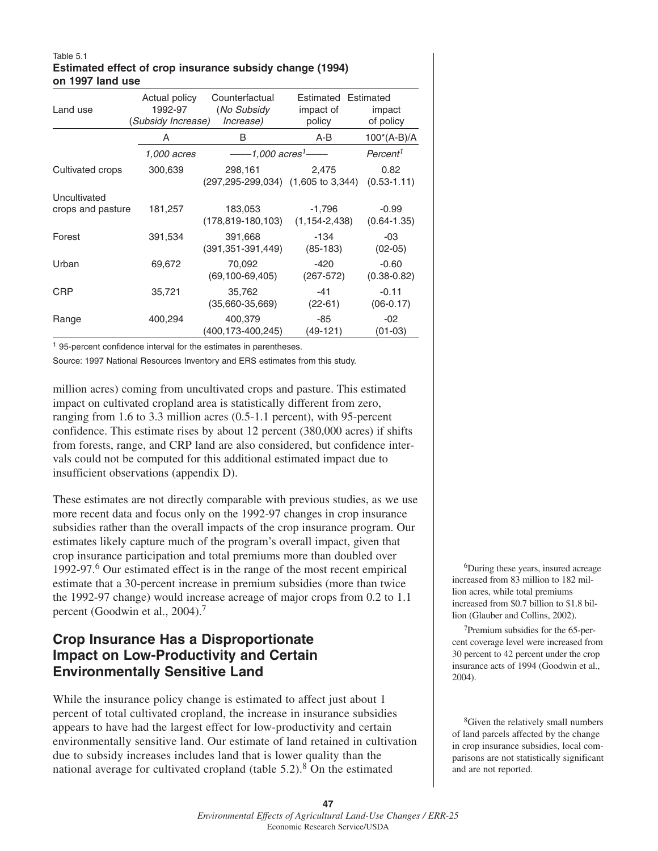### Table 5.1 **Estimated effect of crop insurance subsidy change (1994) on 1997 land use**

| Land use                          | Actual policy<br>1992-97<br>(Subsidy Increase) | Counterfactual<br>(No Subsidy<br><i>Increase</i> )               | Estimated Estimated<br>impact of<br>policy | impact<br>of policy        |  |
|-----------------------------------|------------------------------------------------|------------------------------------------------------------------|--------------------------------------------|----------------------------|--|
|                                   | A                                              | B                                                                | A-B                                        | $100^*(A-B)/A$             |  |
|                                   | 1,000 acres                                    | $---1.000$ acres <sup>1</sup> —                                  |                                            | Percent <sup>1</sup>       |  |
| Cultivated crops                  | 300,639                                        | 298,161<br>$(297, 295 - 299, 034)$ $(1, 605 \text{ to } 3, 344)$ | 2,475                                      | 0.82<br>$(0.53 - 1.11)$    |  |
| Uncultivated<br>crops and pasture | 181,257                                        | 183,053<br>$(178, 819 - 180, 103)$                               | $-1,796$<br>$(1, 154 - 2, 438)$            | $-0.99$<br>$(0.64 - 1.35)$ |  |
| Forest                            | 391,534                                        | 391,668<br>$(391, 351 - 391, 449)$                               | $-134$<br>$(85-183)$                       | -03<br>$(02-05)$           |  |
| Urban                             | 69,672                                         | 70,092<br>$(69, 100 - 69, 405)$                                  | $-420$<br>$(267 - 572)$                    | $-0.60$<br>$(0.38 - 0.82)$ |  |
| <b>CRP</b>                        | 35,721                                         | 35,762<br>$(35,660 - 35,669)$                                    | $-41$<br>$(22-61)$                         | $-0.11$<br>$(06-0.17)$     |  |
| Range                             | 400,294                                        | 400,379<br>(400,173-400,245)                                     | -85<br>$(49-121)$                          | $-02$<br>$(01-03)$         |  |

<sup>1</sup> 95-percent confidence interval for the estimates in parentheses.

Source: 1997 National Resources Inventory and ERS estimates from this study.

million acres) coming from uncultivated crops and pasture. This estimated impact on cultivated cropland area is statistically different from zero, ranging from 1.6 to 3.3 million acres (0.5-1.1 percent), with 95-percent confidence. This estimate rises by about 12 percent (380,000 acres) if shifts from forests, range, and CRP land are also considered, but confidence intervals could not be computed for this additional estimated impact due to insufficient observations (appendix D).

These estimates are not directly comparable with previous studies, as we use more recent data and focus only on the 1992-97 changes in crop insurance subsidies rather than the overall impacts of the crop insurance program. Our estimates likely capture much of the program's overall impact, given that crop insurance participation and total premiums more than doubled over 1992-97.6 Our estimated effect is in the range of the most recent empirical estimate that a 30-percent increase in premium subsidies (more than twice the 1992-97 change) would increase acreage of major crops from 0.2 to 1.1 percent (Goodwin et al., 2004).<sup>7</sup>

# **Crop Insurance Has a Disproportionate Impact on Low-Productivity and Certain Environmentally Sensitive Land**

While the insurance policy change is estimated to affect just about 1 percent of total cultivated cropland, the increase in insurance subsidies appears to have had the largest effect for low-productivity and certain environmentally sensitive land. Our estimate of land retained in cultivation due to subsidy increases includes land that is lower quality than the national average for cultivated cropland (table  $5.2$ ).<sup>8</sup> On the estimated

6During these years, insured acreage increased from 83 million to 182 million acres, while total premiums increased from \$0.7 billion to \$1.8 billion (Glauber and Collins, 2002).

7Premium subsidies for the 65-percent coverage level were increased from 30 percent to 42 percent under the crop insurance acts of 1994 (Goodwin et al., 2004).

8Given the relatively small numbers of land parcels affected by the change in crop insurance subsidies, local comparisons are not statistically significant and are not reported.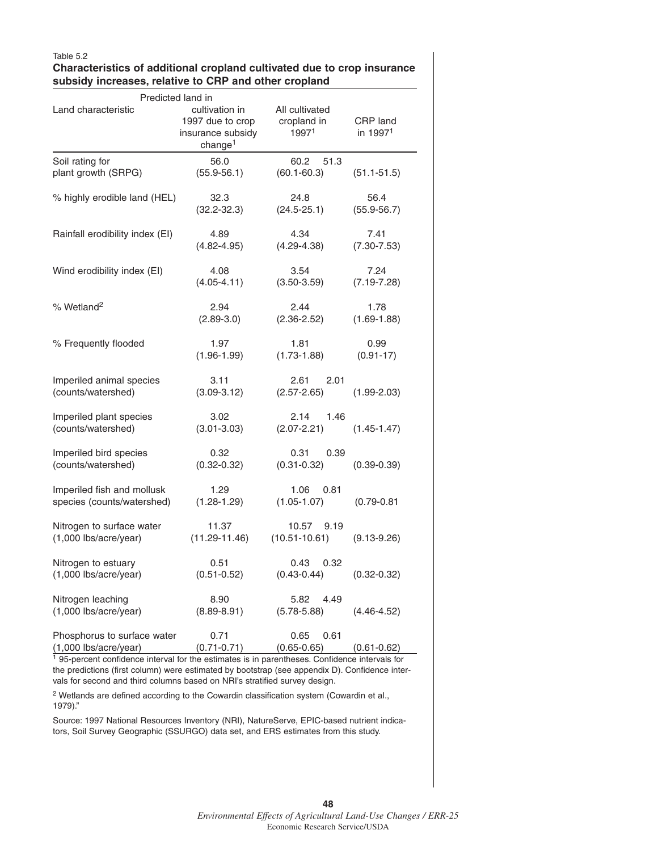### Table 5.2

## **Characteristics of additional cropland cultivated due to crop insurance subsidy increases, relative to CRP and other cropland**

| Predicted land in                                        |                                                                                |                                        |                                  |  |  |  |
|----------------------------------------------------------|--------------------------------------------------------------------------------|----------------------------------------|----------------------------------|--|--|--|
| Land characteristic                                      | cultivation in<br>1997 due to crop<br>insurance subsidy<br>change <sup>1</sup> | All cultivated<br>cropland in<br>19971 | CRP land<br>in 1997 <sup>1</sup> |  |  |  |
| Soil rating for<br>plant growth (SRPG)                   | 56.0<br>$(55.9 - 56.1)$                                                        | 60.2<br>51.3<br>$(60.1 - 60.3)$        | $(51.1 - 51.5)$                  |  |  |  |
| % highly erodible land (HEL)                             | 32.3<br>$(32.2 - 32.3)$                                                        | 24.8<br>$(24.5 - 25.1)$                | 56.4<br>$(55.9 - 56.7)$          |  |  |  |
| Rainfall erodibility index (EI)                          | 4.89<br>$(4.82 - 4.95)$                                                        | 4.34<br>$(4.29 - 4.38)$                | 7.41<br>$(7.30 - 7.53)$          |  |  |  |
| Wind erodibility index (EI)                              | 4.08<br>$(4.05 - 4.11)$                                                        | 3.54<br>$(3.50 - 3.59)$                | 7.24<br>$(7.19 - 7.28)$          |  |  |  |
| % Wetland <sup>2</sup>                                   | 2.94<br>$(2.89-3.0)$                                                           | 2.44<br>$(2.36 - 2.52)$                | 1.78<br>$(1.69 - 1.88)$          |  |  |  |
| % Frequently flooded                                     | 1.97<br>$(1.96 - 1.99)$                                                        | 1.81<br>$(1.73 - 1.88)$                | 0.99<br>$(0.91 - 17)$            |  |  |  |
| Imperiled animal species<br>(counts/watershed)           | 3.11<br>$(3.09 - 3.12)$                                                        | 2.61<br>2.01<br>$(2.57 - 2.65)$        | $(1.99 - 2.03)$                  |  |  |  |
| Imperiled plant species<br>(counts/watershed)            | 3.02<br>$(3.01 - 3.03)$                                                        | 2.14<br>1.46<br>$(2.07 - 2.21)$        | $(1.45 - 1.47)$                  |  |  |  |
| Imperiled bird species<br>(counts/watershed)             | 0.32<br>$(0.32 - 0.32)$                                                        | 0.31<br>0.39<br>$(0.31 - 0.32)$        | $(0.39 - 0.39)$                  |  |  |  |
| Imperiled fish and mollusk<br>species (counts/watershed) | 1.29<br>$(1.28 - 1.29)$                                                        | 1.06<br>0.81<br>$(1.05 - 1.07)$        | $(0.79 - 0.81)$                  |  |  |  |
| Nitrogen to surface water<br>(1,000 lbs/acre/year)       | 11.37<br>$(11.29 - 11.46)$                                                     | 10.57<br>9.19<br>$(10.51 - 10.61)$     | $(9.13 - 9.26)$                  |  |  |  |
| Nitrogen to estuary<br>$(1,000$ lbs/acre/year)           | 0.51<br>$(0.51 - 0.52)$                                                        | 0.43<br>0.32<br>$(0.43 - 0.44)$        | $(0.32 - 0.32)$                  |  |  |  |
| Nitrogen leaching<br>(1,000 lbs/acre/year)               | 8.90<br>$(8.89 - 8.91)$                                                        | 5.82<br>4.49<br>$(5.78 - 5.88)$        | $(4.46 - 4.52)$                  |  |  |  |
| Phosphorus to surface water<br>$(1,000$ lbs/acre/year)   | 0.71<br>$(0.71 - 0.71)$                                                        | 0.65<br>0.61<br>$(0.65 - 0.65)$        | $(0.61 - 0.62)$                  |  |  |  |

<sup>1</sup> 95-percent confidence interval for the estimates is in parentheses. Confidence intervals for the predictions (first column) were estimated by bootstrap (see appendix D). Confidence intervals for second and third columns based on NRI's stratified survey design.

<sup>2</sup> Wetlands are defined according to the Cowardin classification system (Cowardin et al., 1979)."

Source: 1997 National Resources Inventory (NRI), NatureServe, EPIC-based nutrient indicators, Soil Survey Geographic (SSURGO) data set, and ERS estimates from this study.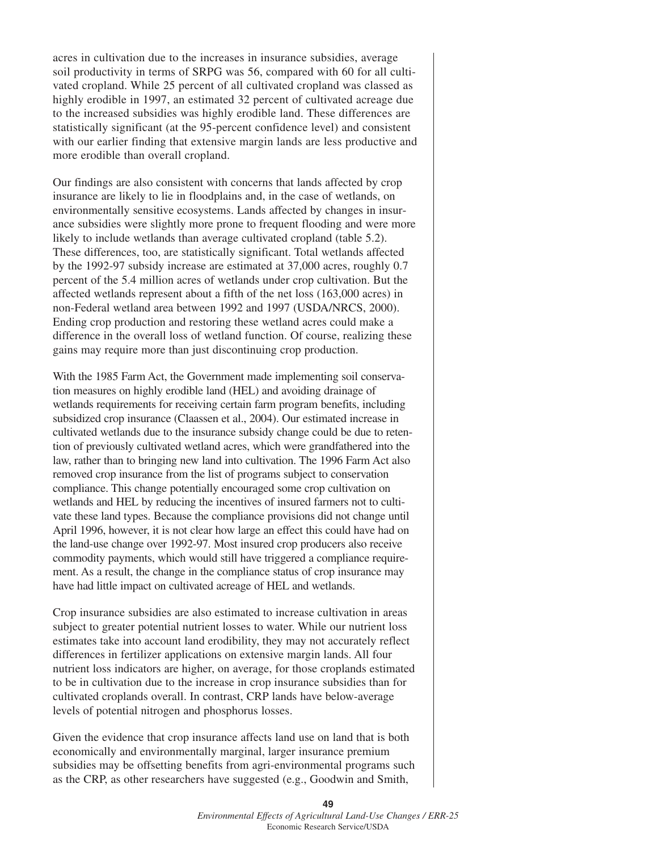acres in cultivation due to the increases in insurance subsidies, average soil productivity in terms of SRPG was 56, compared with 60 for all cultivated cropland. While 25 percent of all cultivated cropland was classed as highly erodible in 1997, an estimated 32 percent of cultivated acreage due to the increased subsidies was highly erodible land. These differences are statistically significant (at the 95-percent confidence level) and consistent with our earlier finding that extensive margin lands are less productive and more erodible than overall cropland.

Our findings are also consistent with concerns that lands affected by crop insurance are likely to lie in floodplains and, in the case of wetlands, on environmentally sensitive ecosystems. Lands affected by changes in insurance subsidies were slightly more prone to frequent flooding and were more likely to include wetlands than average cultivated cropland (table 5.2). These differences, too, are statistically significant. Total wetlands affected by the 1992-97 subsidy increase are estimated at 37,000 acres, roughly 0.7 percent of the 5.4 million acres of wetlands under crop cultivation. But the affected wetlands represent about a fifth of the net loss (163,000 acres) in non-Federal wetland area between 1992 and 1997 (USDA/NRCS, 2000). Ending crop production and restoring these wetland acres could make a difference in the overall loss of wetland function. Of course, realizing these gains may require more than just discontinuing crop production.

With the 1985 Farm Act, the Government made implementing soil conservation measures on highly erodible land (HEL) and avoiding drainage of wetlands requirements for receiving certain farm program benefits, including subsidized crop insurance (Claassen et al., 2004). Our estimated increase in cultivated wetlands due to the insurance subsidy change could be due to retention of previously cultivated wetland acres, which were grandfathered into the law, rather than to bringing new land into cultivation. The 1996 Farm Act also removed crop insurance from the list of programs subject to conservation compliance. This change potentially encouraged some crop cultivation on wetlands and HEL by reducing the incentives of insured farmers not to cultivate these land types. Because the compliance provisions did not change until April 1996, however, it is not clear how large an effect this could have had on the land-use change over 1992-97. Most insured crop producers also receive commodity payments, which would still have triggered a compliance requirement. As a result, the change in the compliance status of crop insurance may have had little impact on cultivated acreage of HEL and wetlands.

Crop insurance subsidies are also estimated to increase cultivation in areas subject to greater potential nutrient losses to water. While our nutrient loss estimates take into account land erodibility, they may not accurately reflect differences in fertilizer applications on extensive margin lands. All four nutrient loss indicators are higher, on average, for those croplands estimated to be in cultivation due to the increase in crop insurance subsidies than for cultivated croplands overall. In contrast, CRP lands have below-average levels of potential nitrogen and phosphorus losses.

Given the evidence that crop insurance affects land use on land that is both economically and environmentally marginal, larger insurance premium subsidies may be offsetting benefits from agri-environmental programs such as the CRP, as other researchers have suggested (e.g., Goodwin and Smith,

> **49** *Environmental Effects of Agricultural Land-Use Changes / ERR-25* Economic Research Service/USDA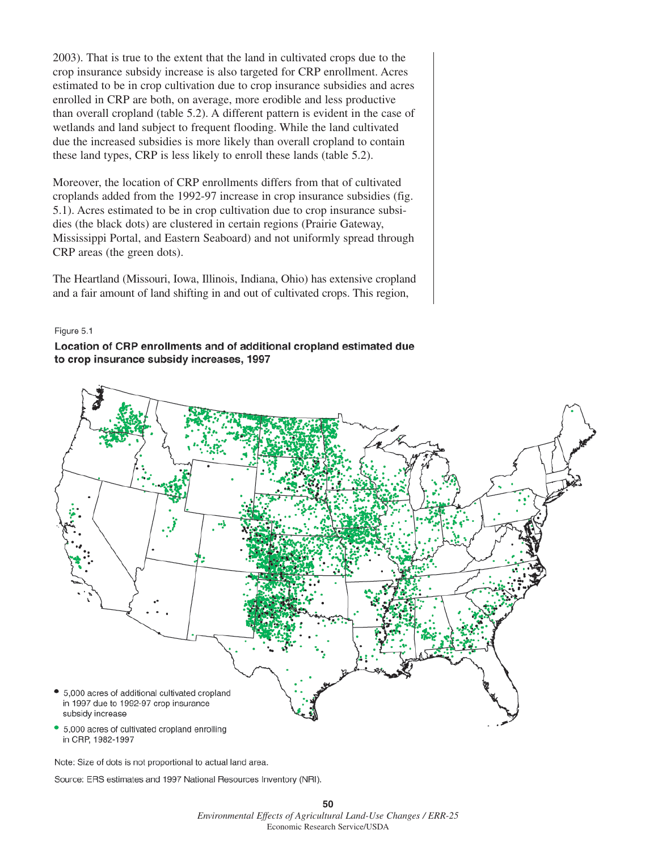2003). That is true to the extent that the land in cultivated crops due to the crop insurance subsidy increase is also targeted for CRP enrollment. Acres estimated to be in crop cultivation due to crop insurance subsidies and acres enrolled in CRP are both, on average, more erodible and less productive than overall cropland (table 5.2). A different pattern is evident in the case of wetlands and land subject to frequent flooding. While the land cultivated due the increased subsidies is more likely than overall cropland to contain these land types, CRP is less likely to enroll these lands (table 5.2).

Moreover, the location of CRP enrollments differs from that of cultivated croplands added from the 1992-97 increase in crop insurance subsidies (fig. 5.1). Acres estimated to be in crop cultivation due to crop insurance subsidies (the black dots) are clustered in certain regions (Prairie Gateway, Mississippi Portal, and Eastern Seaboard) and not uniformly spread through CRP areas (the green dots).

The Heartland (Missouri, Iowa, Illinois, Indiana, Ohio) has extensive cropland and a fair amount of land shifting in and out of cultivated crops. This region,

#### Figure 5.1

## Location of CRP enrollments and of additional cropland estimated due to crop insurance subsidy increases, 1997



Note: Size of dots is not proportional to actual land area.

Source: ERS estimates and 1997 National Resources Inventory (NRI).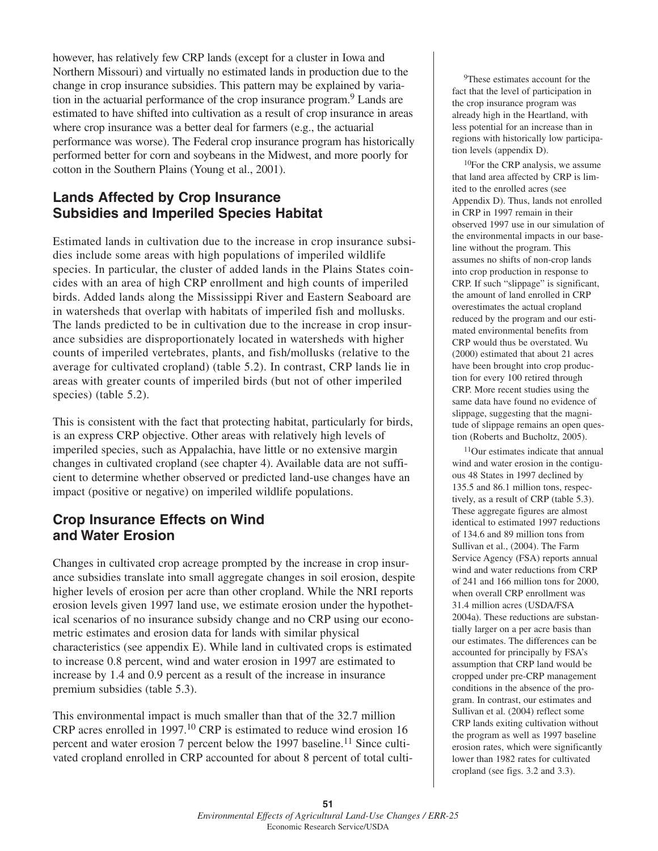however, has relatively few CRP lands (except for a cluster in Iowa and Northern Missouri) and virtually no estimated lands in production due to the change in crop insurance subsidies. This pattern may be explained by variation in the actuarial performance of the crop insurance program.<sup>9</sup> Lands are estimated to have shifted into cultivation as a result of crop insurance in areas where crop insurance was a better deal for farmers (e.g., the actuarial performance was worse). The Federal crop insurance program has historically performed better for corn and soybeans in the Midwest, and more poorly for cotton in the Southern Plains (Young et al., 2001).

## **Lands Affected by Crop Insurance Subsidies and Imperiled Species Habitat**

Estimated lands in cultivation due to the increase in crop insurance subsidies include some areas with high populations of imperiled wildlife species. In particular, the cluster of added lands in the Plains States coincides with an area of high CRP enrollment and high counts of imperiled birds. Added lands along the Mississippi River and Eastern Seaboard are in watersheds that overlap with habitats of imperiled fish and mollusks. The lands predicted to be in cultivation due to the increase in crop insurance subsidies are disproportionately located in watersheds with higher counts of imperiled vertebrates, plants, and fish/mollusks (relative to the average for cultivated cropland) (table 5.2). In contrast, CRP lands lie in areas with greater counts of imperiled birds (but not of other imperiled species) (table 5.2).

This is consistent with the fact that protecting habitat, particularly for birds, is an express CRP objective. Other areas with relatively high levels of imperiled species, such as Appalachia, have little or no extensive margin changes in cultivated cropland (see chapter 4). Available data are not sufficient to determine whether observed or predicted land-use changes have an impact (positive or negative) on imperiled wildlife populations.

## **Crop Insurance Effects on Wind and Water Erosion**

Changes in cultivated crop acreage prompted by the increase in crop insurance subsidies translate into small aggregate changes in soil erosion, despite higher levels of erosion per acre than other cropland. While the NRI reports erosion levels given 1997 land use, we estimate erosion under the hypothetical scenarios of no insurance subsidy change and no CRP using our econometric estimates and erosion data for lands with similar physical characteristics (see appendix E). While land in cultivated crops is estimated to increase 0.8 percent, wind and water erosion in 1997 are estimated to increase by 1.4 and 0.9 percent as a result of the increase in insurance premium subsidies (table 5.3).

This environmental impact is much smaller than that of the 32.7 million CRP acres enrolled in 1997.<sup>10</sup> CRP is estimated to reduce wind erosion 16 percent and water erosion 7 percent below the 1997 baseline.<sup>11</sup> Since cultivated cropland enrolled in CRP accounted for about 8 percent of total culti-

<sup>9</sup>These estimates account for the fact that the level of participation in the crop insurance program was already high in the Heartland, with less potential for an increase than in regions with historically low participation levels (appendix D).

10For the CRP analysis, we assume that land area affected by CRP is limited to the enrolled acres (see Appendix D). Thus, lands not enrolled in CRP in 1997 remain in their observed 1997 use in our simulation of the environmental impacts in our baseline without the program. This assumes no shifts of non-crop lands into crop production in response to CRP. If such "slippage" is significant, the amount of land enrolled in CRP overestimates the actual cropland reduced by the program and our estimated environmental benefits from CRP would thus be overstated. Wu (2000) estimated that about 21 acres have been brought into crop production for every 100 retired through CRP. More recent studies using the same data have found no evidence of slippage, suggesting that the magnitude of slippage remains an open question (Roberts and Bucholtz, 2005).

11Our estimates indicate that annual wind and water erosion in the contiguous 48 States in 1997 declined by 135.5 and 86.1 million tons, respectively, as a result of CRP (table 5.3). These aggregate figures are almost identical to estimated 1997 reductions of 134.6 and 89 million tons from Sullivan et al., (2004). The Farm Service Agency (FSA) reports annual wind and water reductions from CRP of 241 and 166 million tons for 2000, when overall CRP enrollment was 31.4 million acres (USDA/FSA 2004a). These reductions are substantially larger on a per acre basis than our estimates. The differences can be accounted for principally by FSA's assumption that CRP land would be cropped under pre-CRP management conditions in the absence of the program. In contrast, our estimates and Sullivan et al. (2004) reflect some CRP lands exiting cultivation without the program as well as 1997 baseline erosion rates, which were significantly lower than 1982 rates for cultivated cropland (see figs. 3.2 and 3.3).